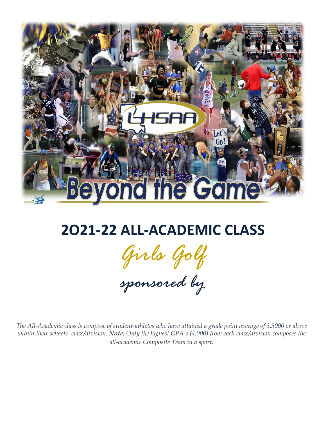

## **2O21-22 ALL-ACADEMIC CLASS**

*Girls Golf*

*sponsored by*

*The All-Academic class is compose of student-athletes who have attained a grade point average of 3.5000 or above within their schools' class/division. Note: Only the highest GPA's (4.000) from each class/division composes the all-academic Composite Team in a sport.*